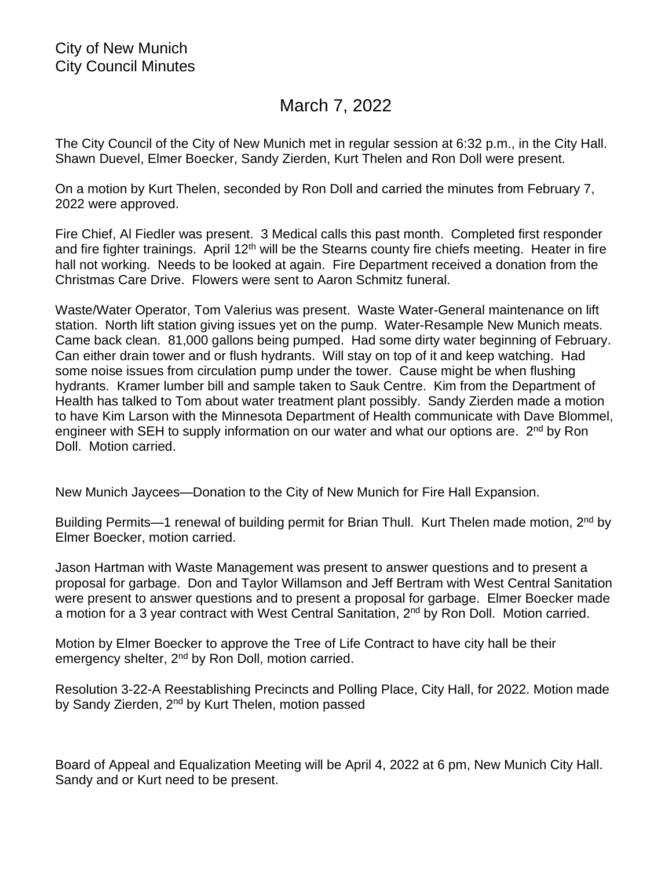## March 7, 2022

The City Council of the City of New Munich met in regular session at 6:32 p.m., in the City Hall. Shawn Duevel, Elmer Boecker, Sandy Zierden, Kurt Thelen and Ron Doll were present.

On a motion by Kurt Thelen, seconded by Ron Doll and carried the minutes from February 7, 2022 were approved.

Fire Chief, Al Fiedler was present. 3 Medical calls this past month. Completed first responder and fire fighter trainings. April 12<sup>th</sup> will be the Stearns county fire chiefs meeting. Heater in fire hall not working. Needs to be looked at again. Fire Department received a donation from the Christmas Care Drive. Flowers were sent to Aaron Schmitz funeral.

Waste/Water Operator, Tom Valerius was present. Waste Water-General maintenance on lift station. North lift station giving issues yet on the pump. Water-Resample New Munich meats. Came back clean. 81,000 gallons being pumped. Had some dirty water beginning of February. Can either drain tower and or flush hydrants. Will stay on top of it and keep watching. Had some noise issues from circulation pump under the tower. Cause might be when flushing hydrants. Kramer lumber bill and sample taken to Sauk Centre. Kim from the Department of Health has talked to Tom about water treatment plant possibly. Sandy Zierden made a motion to have Kim Larson with the Minnesota Department of Health communicate with Dave Blommel, engineer with SEH to supply information on our water and what our options are. 2<sup>nd</sup> by Ron Doll. Motion carried.

New Munich Jaycees—Donation to the City of New Munich for Fire Hall Expansion.

Building Permits-1 renewal of building permit for Brian Thull. Kurt Thelen made motion, 2<sup>nd</sup> by Elmer Boecker, motion carried.

Jason Hartman with Waste Management was present to answer questions and to present a proposal for garbage. Don and Taylor Willamson and Jeff Bertram with West Central Sanitation were present to answer questions and to present a proposal for garbage. Elmer Boecker made a motion for a 3 year contract with West Central Sanitation, 2<sup>nd</sup> by Ron Doll. Motion carried.

Motion by Elmer Boecker to approve the Tree of Life Contract to have city hall be their emergency shelter, 2<sup>nd</sup> by Ron Doll, motion carried.

Resolution 3-22-A Reestablishing Precincts and Polling Place, City Hall, for 2022. Motion made by Sandy Zierden, 2<sup>nd</sup> by Kurt Thelen, motion passed

Board of Appeal and Equalization Meeting will be April 4, 2022 at 6 pm, New Munich City Hall. Sandy and or Kurt need to be present.